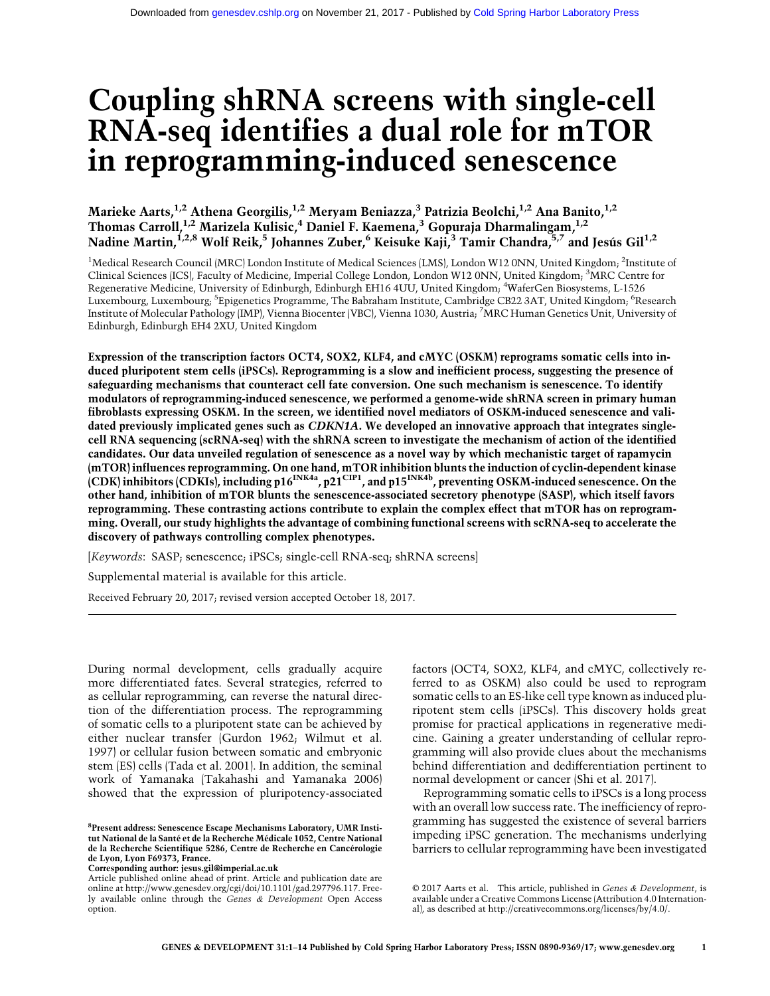# Coupling shRNA screens with single-cell RNA-seq identifies a dual role for mTOR in reprogramming-induced senescence

Marieke Aarts, $^{1,2}$  Athena Georgilis, $^{1,2}$  Meryam Beniazza, $^3$  Patrizia Beolchi, $^{1,2}$  Ana Banito, $^{1,2}$ Thomas Carroll,<sup>1,2</sup> Marizela Kulisic,<sup>4</sup> Daniel F. Kaemena,<sup>3</sup> Gopuraja Dharmalingam,<sup>1,2</sup> Nadine Martin,<sup>1,2,8</sup> Wolf Reik,<sup>5</sup> Johannes Zuber,<sup>6</sup> Keisuke Kaji,<sup>3</sup> Tamir Chandra,<sup>5,7</sup> and Jesús Gil<sup>1,2</sup>

<sup>1</sup>Medical Research Council (MRC) London Institute of Medical Sciences (LMS), London W12 0NN, United Kingdom; <sup>2</sup>Institute of Clinical Sciences (ICS), Faculty of Medicine, Imperial College London, London W12 0NN, United Kingdom; <sup>3</sup>MRC Centre for Regenerative Medicine, University of Edinburgh, Edinburgh EH16 4UU, United Kingdom; <sup>4</sup>WaferGen Biosystems, L-1526 Luxembourg, Luxembourg, <sup>5</sup>Epigenetics Programme, The Babraham Institute, Cambridge CB22 3AT, United Kingdom; <sup>6</sup>Research Institute of Molecular Pathology (IMP), Vienna Biocenter (VBC), Vienna 1030, Austria; <sup>7</sup> MRC Human Genetics Unit, University of Edinburgh, Edinburgh EH4 2XU, United Kingdom

Expression of the transcription factors OCT4, SOX2, KLF4, and cMYC (OSKM) reprograms somatic cells into induced pluripotent stem cells (iPSCs). Reprogramming is a slow and inefficient process, suggesting the presence of safeguarding mechanisms that counteract cell fate conversion. One such mechanism is senescence. To identify modulators of reprogramming-induced senescence, we performed a genome-wide shRNA screen in primary human fibroblasts expressing OSKM. In the screen, we identified novel mediators of OSKM-induced senescence and validated previously implicated genes such as CDKN1A. We developed an innovative approach that integrates singlecell RNA sequencing (scRNA-seq) with the shRNA screen to investigate the mechanism of action of the identified candidates. Our data unveiled regulation of senescence as a novel way by which mechanistic target of rapamycin (mTOR) influences reprogramming. On one hand, mTOR inhibition blunts the induction of cyclin-dependent kinase (CDK) inhibitors (CDKIs), including p16<sup>INK4a</sup>, p21<sup>CIP1</sup>, and p15<sup>INK4b</sup>, preventing OSKM-induced senescence. On the other hand, inhibition of mTOR blunts the senescence-associated secretory phenotype (SASP), which itself favors reprogramming. These contrasting actions contribute to explain the complex effect that mTOR has on reprogramming. Overall, our study highlights the advantage of combining functional screens with scRNA-seq to accelerate the discovery of pathways controlling complex phenotypes.

[Keywords: SASP; senescence; iPSCs; single-cell RNA-seq; shRNA screens]

Supplemental material is available for this article.

Received February 20, 2017; revised version accepted October 18, 2017.

During normal development, cells gradually acquire more differentiated fates. Several strategies, referred to as cellular reprogramming, can reverse the natural direction of the differentiation process. The reprogramming of somatic cells to a pluripotent state can be achieved by either nuclear transfer (Gurdon 1962; Wilmut et al. 1997) or cellular fusion between somatic and embryonic stem (ES) cells (Tada et al. 2001). In addition, the seminal work of Yamanaka (Takahashi and Yamanaka 2006) showed that the expression of pluripotency-associated

Corresponding author: [jesus.gil@imperial.ac.uk](mailto:jesus.gil@imperial.ac.uk)

factors (OCT4, SOX2, KLF4, and cMYC, collectively referred to as OSKM) also could be used to reprogram somatic cells to an ES-like cell type known as induced pluripotent stem cells (iPSCs). This discovery holds great promise for practical applications in regenerative medicine. Gaining a greater understanding of cellular reprogramming will also provide clues about the mechanisms behind differentiation and dedifferentiation pertinent to normal development or cancer (Shi et al. 2017).

Reprogramming somatic cells to iPSCs is a long process with an overall low success rate. The inefficiency of reprogramming has suggested the existence of several barriers impeding iPSC generation. The mechanisms underlying barriers to cellular reprogramming have been investigated

[© 2017 Aarts et al.](http://genesdev.cshlp.org/site/misc/terms.xhtml) This article, published in Genes & Development, is available under a Creative Commons License (Attribution 4.0 International), as described at<http://creativecommons.org/licenses/by/4.0/>.

<sup>&</sup>lt;sup>8</sup> Present address: Senescence Escape Mechanisms Laboratory, UMR Institut National de la Santé et de la Recherche Médicale 1052, Centre National de la Recherche Scientifique 5286, Centre de Recherche en Cancérologie de Lyon, Lyon F69373, France.

Article published online ahead of print. Article and publication date are online at [http://www.genesdev.org/cgi/doi/10.1101/gad.297796.117.](http://www.genesdev.org/cgi/doi/10.1101/gad.297796.117) Freely available online through the Genes & Development Open Access option.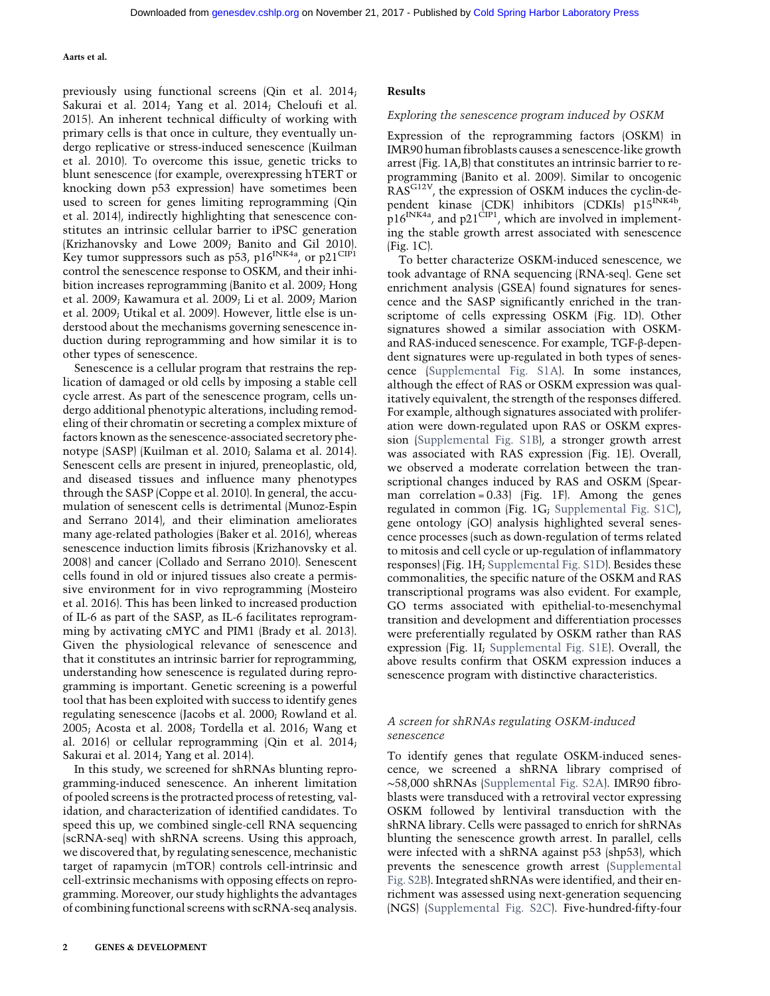previously using functional screens (Qin et al. 2014; Sakurai et al. 2014; Yang et al. 2014; Cheloufi et al. 2015). An inherent technical difficulty of working with primary cells is that once in culture, they eventually undergo replicative or stress-induced senescence (Kuilman et al. 2010). To overcome this issue, genetic tricks to blunt senescence (for example, overexpressing hTERT or knocking down p53 expression) have sometimes been used to screen for genes limiting reprogramming (Qin et al. 2014), indirectly highlighting that senescence constitutes an intrinsic cellular barrier to iPSC generation (Krizhanovsky and Lowe 2009; Banito and Gil 2010). Key tumor suppressors such as p53, p16<sup>INK4a</sup>, or p21<sup>CIP1</sup> control the senescence response to OSKM, and their inhibition increases reprogramming (Banito et al. 2009; Hong et al. 2009; Kawamura et al. 2009; Li et al. 2009; Marion et al. 2009; Utikal et al. 2009). However, little else is understood about the mechanisms governing senescence induction during reprogramming and how similar it is to other types of senescence.

Senescence is a cellular program that restrains the replication of damaged or old cells by imposing a stable cell cycle arrest. As part of the senescence program, cells undergo additional phenotypic alterations, including remodeling of their chromatin or secreting a complex mixture of factors known as the senescence-associated secretory phenotype (SASP) (Kuilman et al. 2010; Salama et al. 2014). Senescent cells are present in injured, preneoplastic, old, and diseased tissues and influence many phenotypes through the SASP (Coppe et al. 2010). In general, the accumulation of senescent cells is detrimental (Munoz-Espin and Serrano 2014), and their elimination ameliorates many age-related pathologies (Baker et al. 2016), whereas senescence induction limits fibrosis (Krizhanovsky et al. 2008) and cancer (Collado and Serrano 2010). Senescent cells found in old or injured tissues also create a permissive environment for in vivo reprogramming (Mosteiro et al. 2016). This has been linked to increased production of IL-6 as part of the SASP, as IL-6 facilitates reprogramming by activating cMYC and PIM1 (Brady et al. 2013). Given the physiological relevance of senescence and that it constitutes an intrinsic barrier for reprogramming, understanding how senescence is regulated during reprogramming is important. Genetic screening is a powerful tool that has been exploited with success to identify genes regulating senescence (Jacobs et al. 2000; Rowland et al. 2005; Acosta et al. 2008; Tordella et al. 2016; Wang et al. 2016) or cellular reprogramming (Qin et al. 2014; Sakurai et al. 2014; Yang et al. 2014).

In this study, we screened for shRNAs blunting reprogramming-induced senescence. An inherent limitation of pooled screens is the protracted process of retesting, validation, and characterization of identified candidates. To speed this up, we combined single-cell RNA sequencing (scRNA-seq) with shRNA screens. Using this approach, we discovered that, by regulating senescence, mechanistic target of rapamycin (mTOR) controls cell-intrinsic and cell-extrinsic mechanisms with opposing effects on reprogramming. Moreover, our study highlights the advantages of combining functional screens with scRNA-seq analysis.

#### Exploring the senescence program induced by OSKM

Expression of the reprogramming factors (OSKM) in IMR90 human fibroblasts causes a senescence-like growth arrest (Fig. 1A,B) that constitutes an intrinsic barrier to reprogramming (Banito et al. 2009). Similar to oncogenic RAS<sup>G12V</sup>, the expression of OSKM induces the cyclin-dependent kinase (CDK) inhibitors (CDKIs) p15<sup>INK4b</sup>,  $p16^{INKA}$ , and  $p21^{CIP1}$ , which are involved in implementing the stable growth arrest associated with senescence (Fig. 1C).

To better characterize OSKM-induced senescence, we took advantage of RNA sequencing (RNA-seq). Gene set enrichment analysis (GSEA) found signatures for senescence and the SASP significantly enriched in the transcriptome of cells expressing OSKM (Fig. 1D). Other signatures showed a similar association with OSKMand RAS-induced senescence. For example, TGF-β-dependent signatures were up-regulated in both types of senescence [\(Supplemental Fig. S1A](http://genesdev.cshlp.org/lookup/suppl/doi:10.1101/gad.297796.117/-/DC1)). In some instances, although the effect of RAS or OSKM expression was qualitatively equivalent, the strength of the responses differed. For example, although signatures associated with proliferation were down-regulated upon RAS or OSKM expression [\(Supplemental Fig. S1B\)](http://genesdev.cshlp.org/lookup/suppl/doi:10.1101/gad.297796.117/-/DC1), a stronger growth arrest was associated with RAS expression (Fig. 1E). Overall, we observed a moderate correlation between the transcriptional changes induced by RAS and OSKM (Spearman correlation =  $0.33$  (Fig. 1F). Among the genes regulated in common (Fig. 1G; [Supplemental Fig. S1C](http://genesdev.cshlp.org/lookup/suppl/doi:10.1101/gad.297796.117/-/DC1)), gene ontology (GO) analysis highlighted several senescence processes (such as down-regulation of terms related to mitosis and cell cycle or up-regulation of inflammatory responses) (Fig. 1H; [Supplemental Fig. S1D](http://genesdev.cshlp.org/lookup/suppl/doi:10.1101/gad.297796.117/-/DC1)). Besides these commonalities, the specific nature of the OSKM and RAS transcriptional programs was also evident. For example, GO terms associated with epithelial-to-mesenchymal transition and development and differentiation processes were preferentially regulated by OSKM rather than RAS expression (Fig. 1I; [Supplemental Fig. S1E\)](http://genesdev.cshlp.org/lookup/suppl/doi:10.1101/gad.297796.117/-/DC1). Overall, the above results confirm that OSKM expression induces a senescence program with distinctive characteristics.

# A screen for shRNAs regulating OSKM-induced senescence

To identify genes that regulate OSKM-induced senescence, we screened a shRNA library comprised of ∼58,000 shRNAs [\(Supplemental Fig. S2A](http://genesdev.cshlp.org/lookup/suppl/doi:10.1101/gad.297796.117/-/DC1)). IMR90 fibroblasts were transduced with a retroviral vector expressing OSKM followed by lentiviral transduction with the shRNA library. Cells were passaged to enrich for shRNAs blunting the senescence growth arrest. In parallel, cells were infected with a shRNA against p53 (shp53), which prevents the senescence growth arrest [\(Supplemental](http://genesdev.cshlp.org/lookup/suppl/doi:10.1101/gad.297796.117/-/DC1) [Fig. S2B\)](http://genesdev.cshlp.org/lookup/suppl/doi:10.1101/gad.297796.117/-/DC1). Integrated shRNAs were identified, and their enrichment was assessed using next-generation sequencing (NGS) [\(Supplemental Fig. S2C](http://genesdev.cshlp.org/lookup/suppl/doi:10.1101/gad.297796.117/-/DC1)). Five-hundred-fifty-four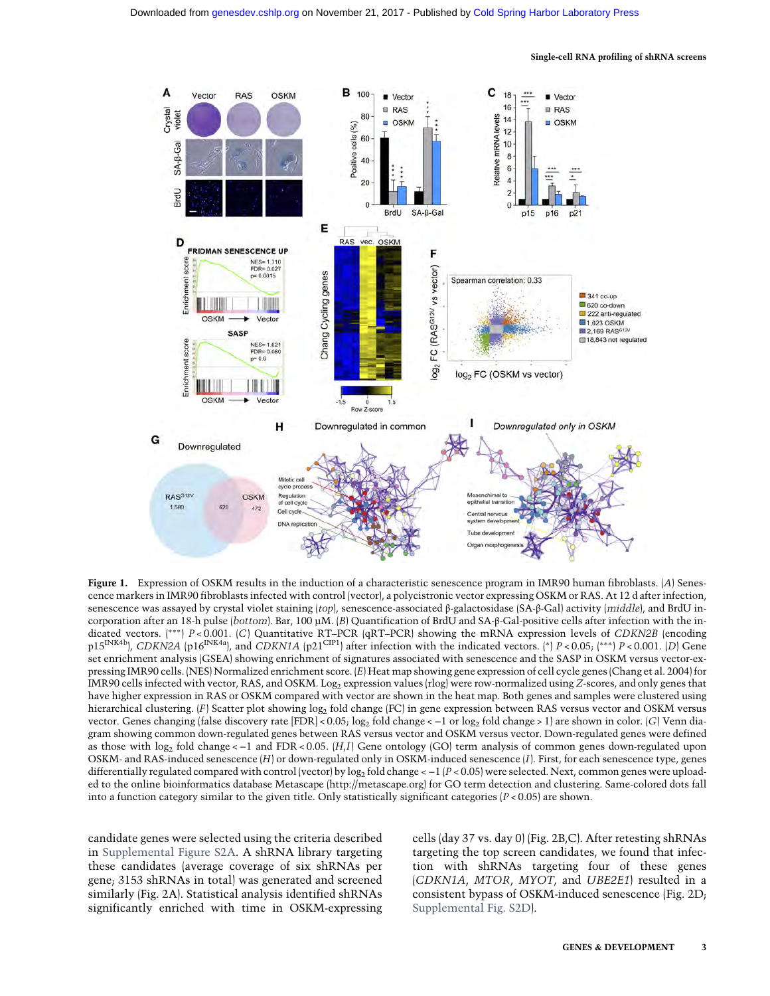

Single-cell RNA profiling of shRNA screens

Figure 1. Expression of OSKM results in the induction of a characteristic senescence program in IMR90 human fibroblasts. (A) Senescence markers in IMR90 fibroblasts infected with control (vector), a polycistronic vector expressing OSKM or RAS. At 12 d after infection, senescence was assayed by crystal violet staining (top), senescence-associated β-galactosidase (SA-β-Gal) activity (middle), and BrdU incorporation after an 18-h pulse (bottom). Bar, 100 µM. (B) Quantification of BrdU and SA-β-Gal-positive cells after infection with the indicated vectors. (∗∗∗) P < 0.001. (C) Quantitative RT–PCR (qRT–PCR) showing the mRNA expression levels of CDKN2B (encoding p15<sup>INK4b</sup>), CDKN2A (p16<sup>INK4a</sup>), and CDKN1A (p21<sup>CIP1</sup>) after infection with the indicated vectors. (\*) P < 0.05; (\*\*\*) P < 0.001. (D) Gene set enrichment analysis (GSEA) showing enrichment of signatures associated with senescence and the SASP in OSKM versus vector-expressing IMR90 cells. (NES) Normalized enrichment score. (E) Heat map showing gene expression of cell cycle genes (Chang et al. 2004) for IMR90 cells infected with vector, RAS, and OSKM. Log<sub>2</sub> expression values (rlog) were row-normalized using Z-scores, and only genes that have higher expression in RAS or OSKM compared with vector are shown in the heat map. Both genes and samples were clustered using hierarchical clustering. (F) Scatter plot showing log<sub>2</sub> fold change (FC) in gene expression between RAS versus vector and OSKM versus vector. Genes changing (false discovery rate [FDR] < 0.05; log<sub>2</sub> fold change < −1 or log<sub>2</sub> fold change > 1) are shown in color. (G) Venn diagram showing common down-regulated genes between RAS versus vector and OSKM versus vector. Down-regulated genes were defined as those with log<sub>2</sub> fold change < −1 and FDR < 0.05. (H<sub>i</sub>I) Gene ontology (GO) term analysis of common genes down-regulated upon OSKM- and RAS-induced senescence (H) or down-regulated only in OSKM-induced senescence (I). First, for each senescence type, genes differentially regulated compared with control (vector) by log<sub>2</sub> fold change < −1 (P < 0.05) were selected. Next, common genes were uploaded to the online bioinformatics database Metascape [\(http://metascape.org\)](http://metascape.org) for GO term detection and clustering. Same-colored dots fall into a function category similar to the given title. Only statistically significant categories  $[P < 0.05]$  are shown.

candidate genes were selected using the criteria described in [Supplemental Figure S2A](http://genesdev.cshlp.org/lookup/suppl/doi:10.1101/gad.297796.117/-/DC1). A shRNA library targeting these candidates (average coverage of six shRNAs per gene; 3153 shRNAs in total) was generated and screened similarly (Fig. 2A). Statistical analysis identified shRNAs significantly enriched with time in OSKM-expressing

cells (day 37 vs. day 0) (Fig. 2B,C). After retesting shRNAs targeting the top screen candidates, we found that infection with shRNAs targeting four of these genes (CDKN1A, MTOR, MYOT, and UBE2E1) resulted in a consistent bypass of OSKM-induced senescence (Fig. 2D; [Supplemental Fig. S2D](http://genesdev.cshlp.org/lookup/suppl/doi:10.1101/gad.297796.117/-/DC1)).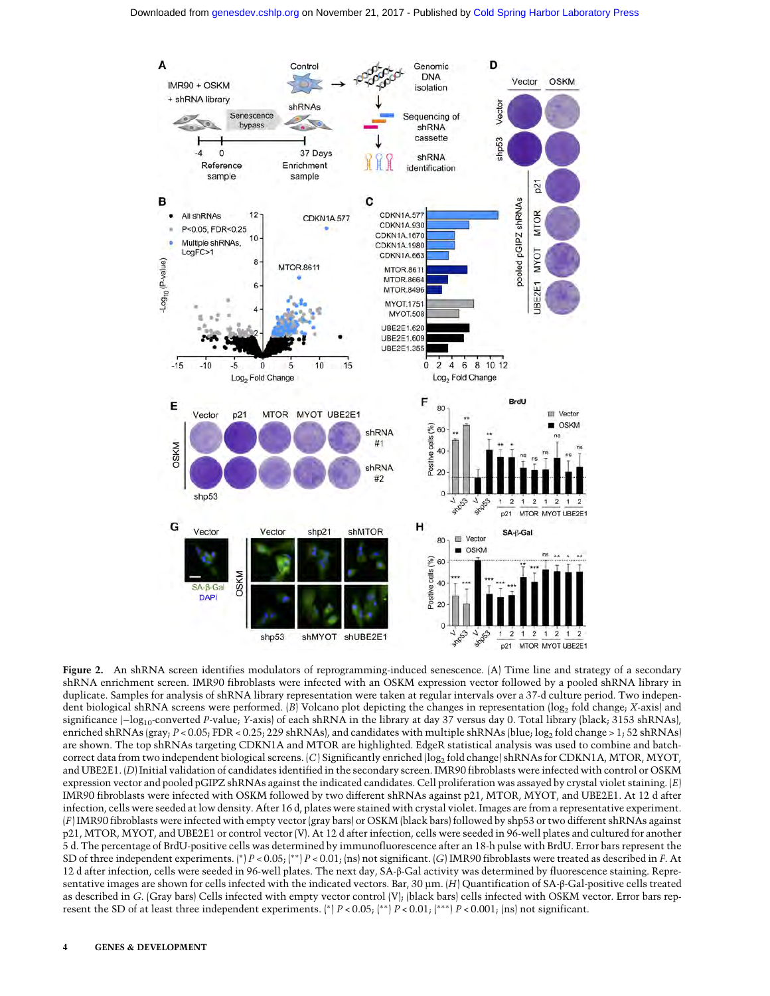

Figure 2. An shRNA screen identifies modulators of reprogramming-induced senescence. (A) Time line and strategy of a secondary shRNA enrichment screen. IMR90 fibroblasts were infected with an OSKM expression vector followed by a pooled shRNA library in duplicate. Samples for analysis of shRNA library representation were taken at regular intervals over a 37-d culture period. Two independent biological shRNA screens were performed. (B) Volcano plot depicting the changes in representation (log<sub>2</sub> fold change; X-axis) and significance (-log<sub>10</sub>-converted P-value; Y-axis) of each shRNA in the library at day 37 versus day 0. Total library (black; 3153 shRNAs), enriched shRNAs (gray; P < 0.05; FDR < 0.25; 229 shRNAs), and candidates with multiple shRNAs (blue; log<sub>2</sub> fold change > 1; 52 shRNAs) are shown. The top shRNAs targeting CDKN1A and MTOR are highlighted. EdgeR statistical analysis was used to combine and batchcorrect data from two independent biological screens. (C) Significantly enriched (log<sub>2</sub> fold change) shRNAs for CDKN1A, MTOR, MYOT, and UBE2E1. (D) Initial validation of candidates identified in the secondary screen. IMR90 fibroblasts were infected with control or OSKM expression vector and pooled pGIPZ shRNAs against the indicated candidates. Cell proliferation was assayed by crystal violet staining.  $(E)$ IMR90 fibroblasts were infected with OSKM followed by two different shRNAs against p21, MTOR, MYOT, and UBE2E1. At 12 d after infection, cells were seeded at low density. After 16 d, plates were stained with crystal violet. Images are from a representative experiment. (F) IMR90 fibroblasts were infected with empty vector (gray bars) or OSKM (black bars) followed by shp53 or two different shRNAs against p21, MTOR, MYOT, and UBE2E1 or control vector (V). At 12 d after infection, cells were seeded in 96-well plates and cultured for another 5 d. The percentage of BrdU-positive cells was determined by immunofluorescence after an 18-h pulse with BrdU. Error bars represent the SD of three independent experiments. (∗) P < 0.05; (∗∗) P < 0.01; (ns) not significant. (G) IMR90 fibroblasts were treated as described in F. At 12 d after infection, cells were seeded in 96-well plates. The next day, SA-β-Gal activity was determined by fluorescence staining. Representative images are shown for cells infected with the indicated vectors. Bar, 30 µm. (H) Quantification of SA-β-Gal-positive cells treated as described in G. (Gray bars) Cells infected with empty vector control (V); (black bars) cells infected with OSKM vector. Error bars represent the SD of at least three independent experiments. (\*)  $P < 0.05$ ; (\*\*)  $P < 0.01$ ; (\*\*\*)  $P < 0.001$ ; (ns) not significant.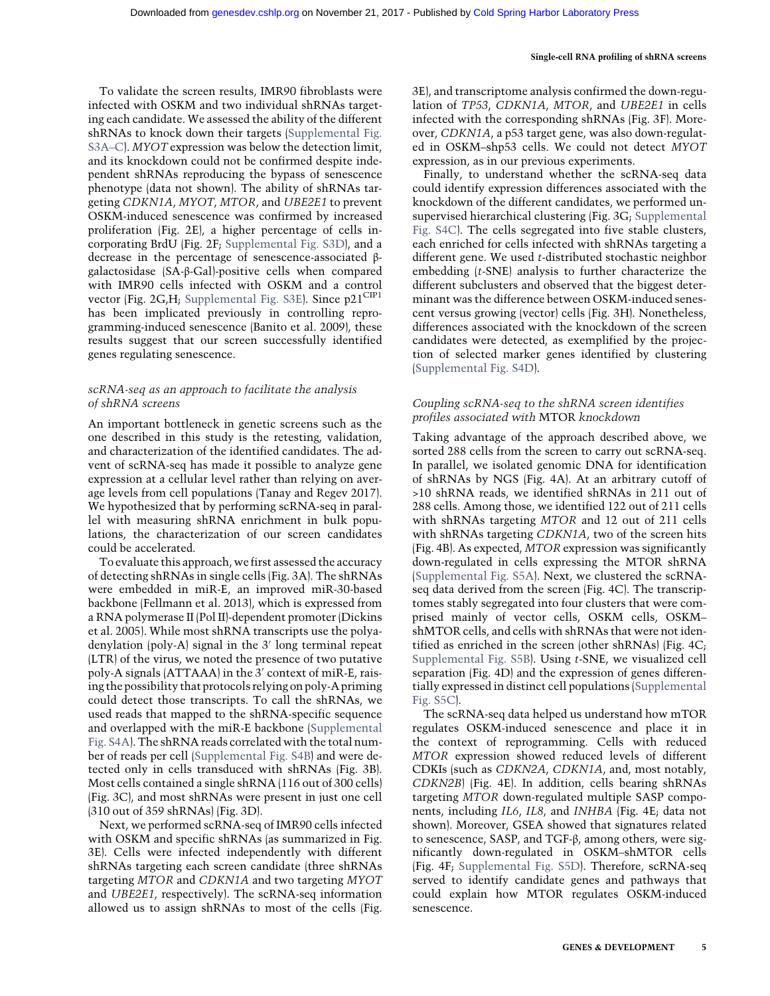To validate the screen results, IMR90 fibroblasts were infected with OSKM and two individual shRNAs targeting each candidate. We assessed the ability of the different shRNAs to knock down their targets [\(Supplemental Fig.](http://genesdev.cshlp.org/lookup/suppl/doi:10.1101/gad.297796.117/-/DC1) [S3A](http://genesdev.cshlp.org/lookup/suppl/doi:10.1101/gad.297796.117/-/DC1)–C). MYOT expression was below the detection limit, and its knockdown could not be confirmed despite independent shRNAs reproducing the bypass of senescence phenotype (data not shown). The ability of shRNAs targeting CDKN1A, MYOT, MTOR, and UBE2E1 to prevent OSKM-induced senescence was confirmed by increased proliferation (Fig. 2E), a higher percentage of cells incorporating BrdU (Fig. 2F; [Supplemental Fig. S3D\)](http://genesdev.cshlp.org/lookup/suppl/doi:10.1101/gad.297796.117/-/DC1), and a decrease in the percentage of senescence-associated βgalactosidase (SA-β-Gal)-positive cells when compared with IMR90 cells infected with OSKM and a control vector (Fig. 2G,H; [Supplemental Fig. S3E](http://genesdev.cshlp.org/lookup/suppl/doi:10.1101/gad.297796.117/-/DC1)). Since  $p21^{\text{CIP1}}$ has been implicated previously in controlling reprogramming-induced senescence (Banito et al. 2009), these results suggest that our screen successfully identified genes regulating senescence.

# scRNA-seq as an approach to facilitate the analysis of shRNA screens

An important bottleneck in genetic screens such as the one described in this study is the retesting, validation, and characterization of the identified candidates. The advent of scRNA-seq has made it possible to analyze gene expression at a cellular level rather than relying on average levels from cell populations (Tanay and Regev 2017). We hypothesized that by performing scRNA-seq in parallel with measuring shRNA enrichment in bulk populations, the characterization of our screen candidates could be accelerated.

To evaluate this approach, we first assessed the accuracy of detecting shRNAs in single cells (Fig. 3A). The shRNAs were embedded in miR-E, an improved miR-30-based backbone (Fellmann et al. 2013), which is expressed from a RNA polymerase II (Pol II)-dependent promoter (Dickins et al. 2005). While most shRNA transcripts use the polyadenylation (poly-A) signal in the 3′ long terminal repeat (LTR) of the virus, we noted the presence of two putative poly-A signals (ATTAAA) in the 3′ context of miR-E, raising the possibility that protocols relying on poly-A priming could detect those transcripts. To call the shRNAs, we used reads that mapped to the shRNA-specific sequence and overlapped with the miR-E backbone [\(Supplemental](http://genesdev.cshlp.org/lookup/suppl/doi:10.1101/gad.297796.117/-/DC1) [Fig. S4A](http://genesdev.cshlp.org/lookup/suppl/doi:10.1101/gad.297796.117/-/DC1)). The shRNA reads correlated with the total number of reads per cell ([Supplemental Fig. S4B\)](http://genesdev.cshlp.org/lookup/suppl/doi:10.1101/gad.297796.117/-/DC1) and were detected only in cells transduced with shRNAs (Fig. 3B). Most cells contained a single shRNA (116 out of 300 cells) (Fig. 3C), and most shRNAs were present in just one cell (310 out of 359 shRNAs) (Fig. 3D).

Next, we performed scRNA-seq of IMR90 cells infected with OSKM and specific shRNAs (as summarized in Fig. 3E). Cells were infected independently with different shRNAs targeting each screen candidate (three shRNAs targeting MTOR and CDKN1A and two targeting MYOT and UBE2E1, respectively). The scRNA-seq information allowed us to assign shRNAs to most of the cells (Fig.

3E), and transcriptome analysis confirmed the down-regulation of TP53, CDKN1A, MTOR, and UBE2E1 in cells infected with the corresponding shRNAs (Fig. 3F). Moreover, CDKN1A, a p53 target gene, was also down-regulated in OSKM–shp53 cells. We could not detect MYOT expression, as in our previous experiments.

Single-cell RNA profiling of shRNA screens

Finally, to understand whether the scRNA-seq data could identify expression differences associated with the knockdown of the different candidates, we performed unsupervised hierarchical clustering (Fig. 3G; [Supplemental](http://genesdev.cshlp.org/lookup/suppl/doi:10.1101/gad.297796.117/-/DC1) [Fig. S4C](http://genesdev.cshlp.org/lookup/suppl/doi:10.1101/gad.297796.117/-/DC1)). The cells segregated into five stable clusters, each enriched for cells infected with shRNAs targeting a different gene. We used t-distributed stochastic neighbor embedding (t-SNE) analysis to further characterize the different subclusters and observed that the biggest determinant was the difference between OSKM-induced senescent versus growing (vector) cells (Fig. 3H). Nonetheless, differences associated with the knockdown of the screen candidates were detected, as exemplified by the projection of selected marker genes identified by clustering [\(Supplemental Fig. S4D\)](http://genesdev.cshlp.org/lookup/suppl/doi:10.1101/gad.297796.117/-/DC1).

# Coupling scRNA-seq to the shRNA screen identifies profiles associated with MTOR knockdown

Taking advantage of the approach described above, we sorted 288 cells from the screen to carry out scRNA-seq. In parallel, we isolated genomic DNA for identification of shRNAs by NGS (Fig. 4A). At an arbitrary cutoff of >10 shRNA reads, we identified shRNAs in 211 out of 288 cells. Among those, we identified 122 out of 211 cells with shRNAs targeting MTOR and 12 out of 211 cells with shRNAs targeting CDKN1A, two of the screen hits (Fig. 4B). As expected, MTOR expression was significantly down-regulated in cells expressing the MTOR shRNA [\(Supplemental Fig. S5A\)](http://genesdev.cshlp.org/lookup/suppl/doi:10.1101/gad.297796.117/-/DC1). Next, we clustered the scRNAseq data derived from the screen (Fig. 4C). The transcriptomes stably segregated into four clusters that were comprised mainly of vector cells, OSKM cells, OSKM– shMTOR cells, and cells with shRNAs that were not identified as enriched in the screen (other shRNAs) (Fig. 4C; [Supplemental Fig. S5B\)](http://genesdev.cshlp.org/lookup/suppl/doi:10.1101/gad.297796.117/-/DC1). Using t-SNE, we visualized cell separation (Fig. 4D) and the expression of genes differentially expressed in distinct cell populations [\(Supplemental](http://genesdev.cshlp.org/lookup/suppl/doi:10.1101/gad.297796.117/-/DC1) [Fig. S5C](http://genesdev.cshlp.org/lookup/suppl/doi:10.1101/gad.297796.117/-/DC1)).

The scRNA-seq data helped us understand how mTOR regulates OSKM-induced senescence and place it in the context of reprogramming. Cells with reduced MTOR expression showed reduced levels of different CDKIs (such as CDKN2A, CDKN1A, and, most notably, CDKN2B) (Fig. 4E). In addition, cells bearing shRNAs targeting MTOR down-regulated multiple SASP components, including IL6, IL8, and INHBA (Fig. 4E; data not shown). Moreover, GSEA showed that signatures related to senescence, SASP, and TGF-β, among others, were significantly down-regulated in OSKM–shMTOR cells (Fig. 4F; [Supplemental Fig. S5D](http://genesdev.cshlp.org/lookup/suppl/doi:10.1101/gad.297796.117/-/DC1)). Therefore, scRNA-seq served to identify candidate genes and pathways that could explain how MTOR regulates OSKM-induced senescence.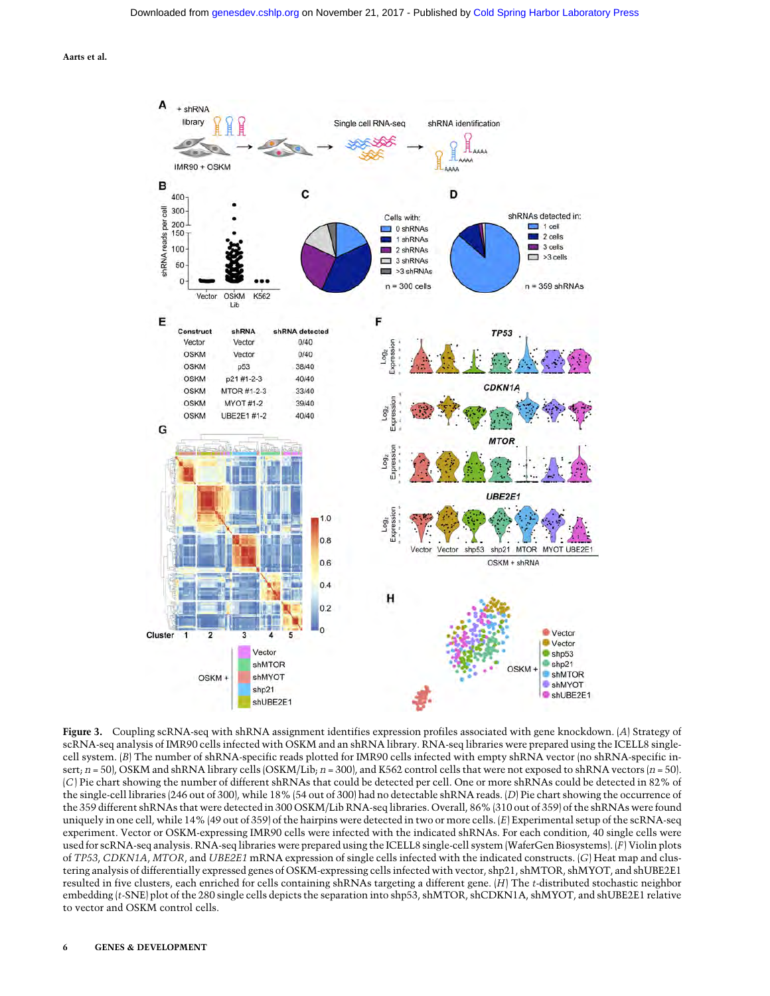

Figure 3. Coupling scRNA-seq with shRNA assignment identifies expression profiles associated with gene knockdown. (A) Strategy of scRNA-seq analysis of IMR90 cells infected with OSKM and an shRNA library. RNA-seq libraries were prepared using the ICELL8 singlecell system. (B) The number of shRNA-specific reads plotted for IMR90 cells infected with empty shRNA vector (no shRNA-specific insert;  $n = 50$ , OSKM and shRNA library cells (OSKM/Lib;  $n = 300$ ), and K562 control cells that were not exposed to shRNA vectors  $(n = 50)$ . (C) Pie chart showing the number of different shRNAs that could be detected per cell. One or more shRNAs could be detected in 82% of the single-cell libraries (246 out of 300), while 18% (54 out of 300) had no detectable shRNA reads. (D) Pie chart showing the occurrence of the 359 different shRNAs that were detected in 300 OSKM/Lib RNA-seq libraries. Overall, 86% (310 out of 359) of the shRNAs were found uniquely in one cell, while 14% (49 out of 359) of the hairpins were detected in two or more cells. (E) Experimental setup of the scRNA-seq experiment. Vector or OSKM-expressing IMR90 cells were infected with the indicated shRNAs. For each condition, 40 single cells were used for scRNA-seq analysis. RNA-seq libraries were prepared using the ICELL8 single-cell system (WaferGen Biosystems). (F) Violin plots of TP53, CDKN1A, MTOR, and UBE2E1 mRNA expression of single cells infected with the indicated constructs. (G) Heat map and clustering analysis of differentially expressed genes of OSKM-expressing cells infected with vector, shp21, shMTOR, shMYOT, and shUBE2E1 resulted in five clusters, each enriched for cells containing shRNAs targeting a different gene. (H) The t-distributed stochastic neighbor embedding (t-SNE) plot of the 280 single cells depicts the separation into shp53, shMTOR, shCDKN1A, shMYOT, and shUBE2E1 relative to vector and OSKM control cells.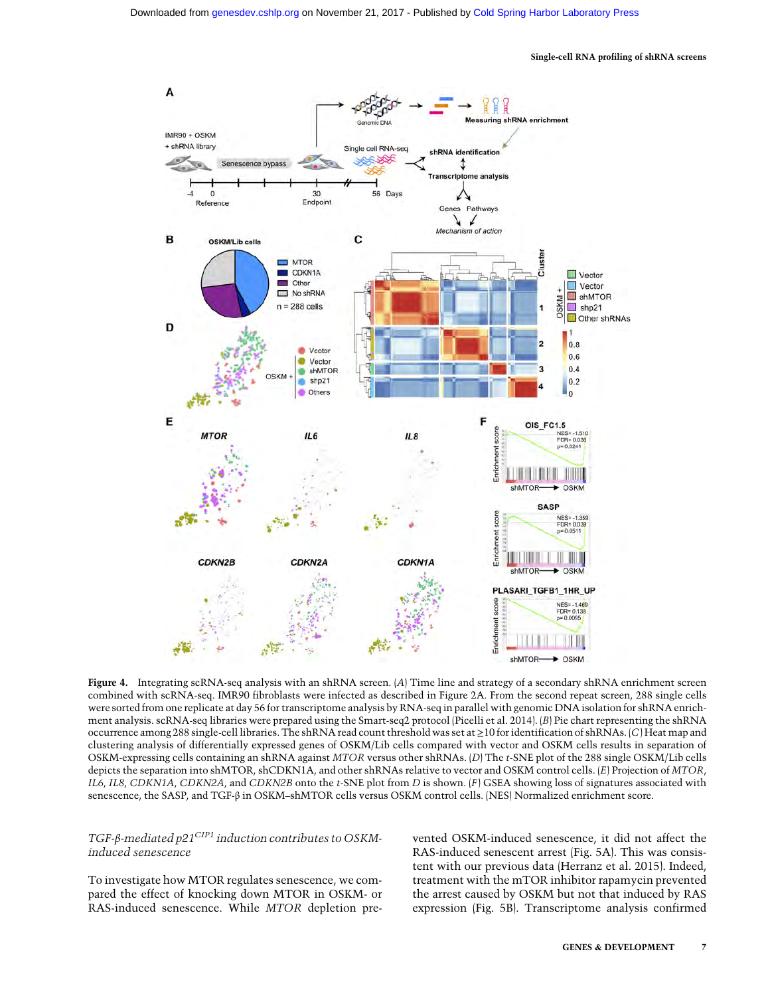#### Single-cell RNA profiling of shRNA screens



Figure 4. Integrating scRNA-seq analysis with an shRNA screen. (A) Time line and strategy of a secondary shRNA enrichment screen combined with scRNA-seq. IMR90 fibroblasts were infected as described in Figure 2A. From the second repeat screen, 288 single cells were sorted from one replicate at day 56 for transcriptome analysis by RNA-seq in parallel with genomic DNA isolation for shRNA enrichment analysis. scRNA-seq libraries were prepared using the Smart-seq2 protocol (Picelli et al. 2014). (B) Pie chart representing the shRNA occurrence among 288 single-cell libraries. The shRNA read count threshold was set at≥10 for identification of shRNAs. (C) Heat map and clustering analysis of differentially expressed genes of OSKM/Lib cells compared with vector and OSKM cells results in separation of OSKM-expressing cells containing an shRNA against MTOR versus other shRNAs. (D) The t-SNE plot of the 288 single OSKM/Lib cells depicts the separation into shMTOR, shCDKN1A, and other shRNAs relative to vector and OSKM control cells. (E) Projection of MTOR, IL6, IL8, CDKN1A, CDKN2A, and CDKN2B onto the t-SNE plot from D is shown. (F) GSEA showing loss of signatures associated with senescence, the SASP, and TGF-β in OSKM–shMTOR cells versus OSKM control cells. (NES) Normalized enrichment score.

# TGF-β-mediated p21<sup>CIP1</sup> induction contributes to OSKMinduced senescence

To investigate how MTOR regulates senescence, we compared the effect of knocking down MTOR in OSKM- or RAS-induced senescence. While MTOR depletion prevented OSKM-induced senescence, it did not affect the RAS-induced senescent arrest (Fig. 5A). This was consistent with our previous data (Herranz et al. 2015). Indeed, treatment with the mTOR inhibitor rapamycin prevented the arrest caused by OSKM but not that induced by RAS expression (Fig. 5B). Transcriptome analysis confirmed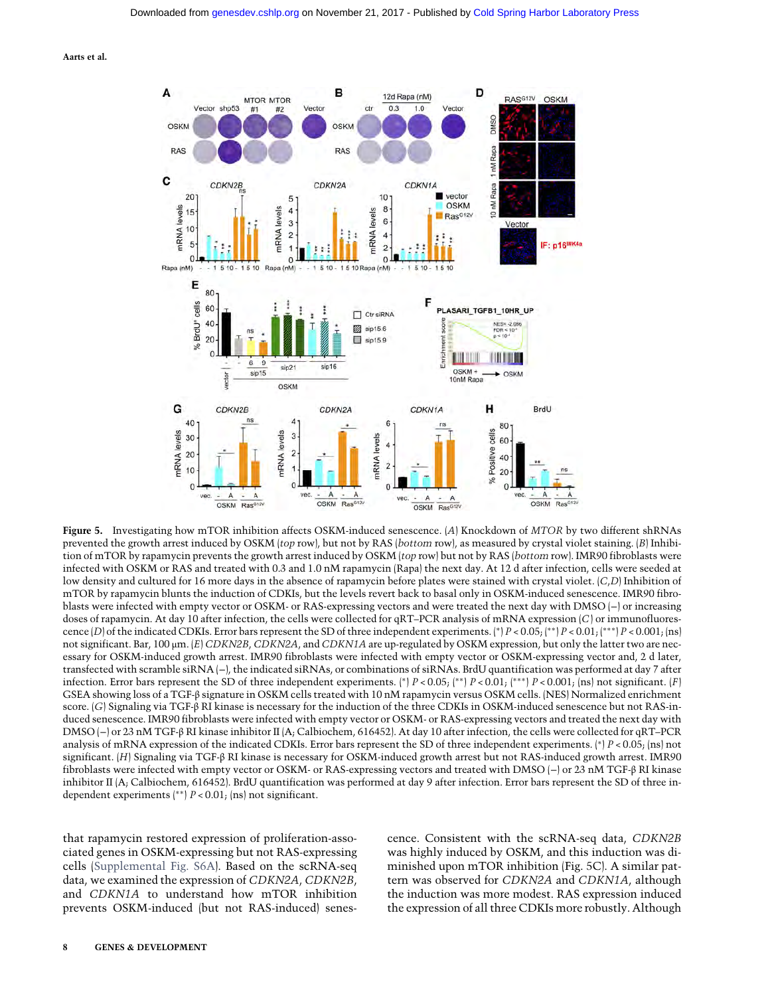

Figure 5. Investigating how mTOR inhibition affects OSKM-induced senescence. (A) Knockdown of MTOR by two different shRNAs prevented the growth arrest induced by OSKM (top row), but not by RAS (bottom row), as measured by crystal violet staining. (B) Inhibition of mTOR by rapamycin prevents the growth arrest induced by OSKM (top row) but not by RAS (bottom row). IMR90 fibroblasts were infected with OSKM or RAS and treated with 0.3 and 1.0 nM rapamycin (Rapa) the next day. At 12 d after infection, cells were seeded at low density and cultured for 16 more days in the absence of rapamycin before plates were stained with crystal violet.  $(C,D)$  Inhibition of mTOR by rapamycin blunts the induction of CDKIs, but the levels revert back to basal only in OSKM-induced senescence. IMR90 fibroblasts were infected with empty vector or OSKM- or RAS-expressing vectors and were treated the next day with DMSO (−) or increasing doses of rapamycin. At day 10 after infection, the cells were collected for qRT–PCR analysis of mRNA expression (C) or immunofluorescence (D) of the indicated CDKIs. Error bars represent the SD of three independent experiments. (\*)  $P < 0.05$ ; (\*\*)  $P < 0.01$ ; (\*\*\*)  $P < 0.001$ ; (ns) not significant. Bar, 100 μm. (E) CDKN2B, CDKN2A, and CDKN1A are up-regulated by OSKM expression, but only the latter two are necessary for OSKM-induced growth arrest. IMR90 fibroblasts were infected with empty vector or OSKM-expressing vector and, 2 d later, transfected with scramble siRNA (−), the indicated siRNAs, or combinations of siRNAs. BrdU quantification was performed at day 7 after infection. Error bars represent the SD of three independent experiments. (\*)  $P < 0.05$ ; (\*\*)  $P < 0.01$ ; (\*\*)  $P < 0.001$ ; (ns) not significant. (F) GSEA showing loss of a TGF-β signature in OSKM cells treated with 10 nM rapamycin versus OSKM cells. (NES) Normalized enrichment score. (G) Signaling via TGF-β RI kinase is necessary for the induction of the three CDKIs in OSKM-induced senescence but not RAS-induced senescence. IMR90 fibroblasts were infected with empty vector or OSKM- or RAS-expressing vectors and treated the next day with DMSO (−) or 23 nM TGF-β RI kinase inhibitor II (A; Calbiochem, 616452). At day 10 after infection, the cells were collected for qRT–PCR analysis of mRNA expression of the indicated CDKIs. Error bars represent the SD of three independent experiments. (\*)  $P < 0.05$ ; (ns) not significant. (H) Signaling via TGF-β RI kinase is necessary for OSKM-induced growth arrest but not RAS-induced growth arrest. IMR90 fibroblasts were infected with empty vector or OSKM- or RAS-expressing vectors and treated with DMSO (−) or 23 nM TGF-β RI kinase inhibitor II (A; Calbiochem, 616452). BrdU quantification was performed at day 9 after infection. Error bars represent the SD of three independent experiments (∗∗) P < 0.01; (ns) not significant.

that rapamycin restored expression of proliferation-associated genes in OSKM-expressing but not RAS-expressing cells ([Supplemental Fig. S6A\)](http://genesdev.cshlp.org/lookup/suppl/doi:10.1101/gad.297796.117/-/DC1). Based on the scRNA-seq data, we examined the expression of CDKN2A, CDKN2B, and CDKN1A to understand how mTOR inhibition prevents OSKM-induced (but not RAS-induced) senescence. Consistent with the scRNA-seq data, CDKN2B was highly induced by OSKM, and this induction was diminished upon mTOR inhibition (Fig. 5C). A similar pattern was observed for CDKN2A and CDKN1A, although the induction was more modest. RAS expression induced the expression of all three CDKIs more robustly. Although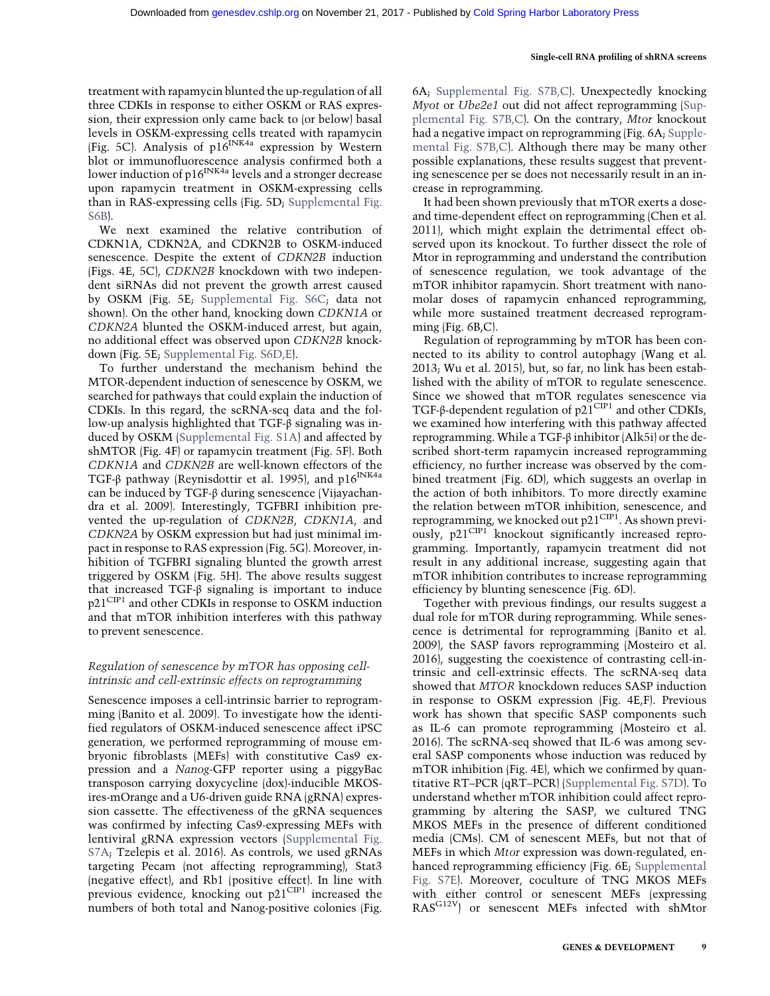#### Single-cell RNA profiling of shRNA screens

treatment with rapamycin blunted the up-regulation of all three CDKIs in response to either OSKM or RAS expression, their expression only came back to (or below) basal levels in OSKM-expressing cells treated with rapamycin (Fig. 5C). Analysis of  $p16^{INK4a}$  expression by Western blot or immunofluorescence analysis confirmed both a lower induction of  $p16^{INK4a}$  levels and a stronger decrease upon rapamycin treatment in OSKM-expressing cells than in RAS-expressing cells (Fig. 5D; [Supplemental Fig.](http://genesdev.cshlp.org/lookup/suppl/doi:10.1101/gad.297796.117/-/DC1) [S6B](http://genesdev.cshlp.org/lookup/suppl/doi:10.1101/gad.297796.117/-/DC1)).

We next examined the relative contribution of CDKN1A, CDKN2A, and CDKN2B to OSKM-induced senescence. Despite the extent of CDKN2B induction (Figs. 4E, 5C), CDKN2B knockdown with two independent siRNAs did not prevent the growth arrest caused by OSKM (Fig. 5E; [Supplemental Fig. S6C](http://genesdev.cshlp.org/lookup/suppl/doi:10.1101/gad.297796.117/-/DC1); data not shown). On the other hand, knocking down CDKN1A or CDKN2A blunted the OSKM-induced arrest, but again, no additional effect was observed upon CDKN2B knockdown (Fig. 5E; [Supplemental Fig. S6D,E](http://genesdev.cshlp.org/lookup/suppl/doi:10.1101/gad.297796.117/-/DC1)).

To further understand the mechanism behind the MTOR-dependent induction of senescence by OSKM, we searched for pathways that could explain the induction of CDKIs. In this regard, the scRNA-seq data and the follow-up analysis highlighted that TGF-β signaling was induced by OSKM ([Supplemental Fig. S1A\)](http://genesdev.cshlp.org/lookup/suppl/doi:10.1101/gad.297796.117/-/DC1) and affected by shMTOR (Fig. 4F) or rapamycin treatment (Fig. 5F). Both CDKN1A and CDKN2B are well-known effectors of the TGF-β pathway (Reynisdottir et al. 1995), and  $p16^{INK4a}$ can be induced by TGF-β during senescence (Vijayachandra et al. 2009). Interestingly, TGFBRI inhibition prevented the up-regulation of CDKN2B, CDKN1A, and CDKN2A by OSKM expression but had just minimal impact in response to RAS expression (Fig. 5G). Moreover, inhibition of TGFBRI signaling blunted the growth arrest triggered by OSKM (Fig. 5H). The above results suggest that increased TGF-β signaling is important to induce p21<sup>CIP1</sup> and other CDKIs in response to OSKM induction and that mTOR inhibition interferes with this pathway to prevent senescence.

# Regulation of senescence by mTOR has opposing cellintrinsic and cell-extrinsic effects on reprogramming

Senescence imposes a cell-intrinsic barrier to reprogramming (Banito et al. 2009). To investigate how the identified regulators of OSKM-induced senescence affect iPSC generation, we performed reprogramming of mouse embryonic fibroblasts (MEFs) with constitutive Cas9 expression and a Nanog-GFP reporter using a piggyBac transposon carrying doxycycline (dox)-inducible MKOSires-mOrange and a U6-driven guide RNA (gRNA) expression cassette. The effectiveness of the gRNA sequences was confirmed by infecting Cas9-expressing MEFs with lentiviral gRNA expression vectors ([Supplemental Fig.](http://genesdev.cshlp.org/lookup/suppl/doi:10.1101/gad.297796.117/-/DC1) [S7A;](http://genesdev.cshlp.org/lookup/suppl/doi:10.1101/gad.297796.117/-/DC1) Tzelepis et al. 2016). As controls, we used gRNAs targeting Pecam (not affecting reprogramming), Stat3 (negative effect), and Rb1 (positive effect). In line with previous evidence, knocking out  $p21^{\text{CIP1}}$  increased the numbers of both total and Nanog-positive colonies (Fig.

6A; [Supplemental Fig. S7B,C](http://genesdev.cshlp.org/lookup/suppl/doi:10.1101/gad.297796.117/-/DC1)). Unexpectedly knocking Myot or Ube2e1 out did not affect reprogramming ([Sup](http://genesdev.cshlp.org/lookup/suppl/doi:10.1101/gad.297796.117/-/DC1)[plemental Fig. S7B,C](http://genesdev.cshlp.org/lookup/suppl/doi:10.1101/gad.297796.117/-/DC1)). On the contrary, Mtor knockout had a negative impact on reprogramming (Fig. 6A; [Supple](http://genesdev.cshlp.org/lookup/suppl/doi:10.1101/gad.297796.117/-/DC1)[mental Fig. S7B,C\)](http://genesdev.cshlp.org/lookup/suppl/doi:10.1101/gad.297796.117/-/DC1). Although there may be many other possible explanations, these results suggest that preventing senescence per se does not necessarily result in an increase in reprogramming.

It had been shown previously that mTOR exerts a doseand time-dependent effect on reprogramming (Chen et al. 2011), which might explain the detrimental effect observed upon its knockout. To further dissect the role of Mtor in reprogramming and understand the contribution of senescence regulation, we took advantage of the mTOR inhibitor rapamycin. Short treatment with nanomolar doses of rapamycin enhanced reprogramming, while more sustained treatment decreased reprogramming (Fig. 6B,C).

Regulation of reprogramming by mTOR has been connected to its ability to control autophagy (Wang et al. 2013; Wu et al. 2015), but, so far, no link has been established with the ability of mTOR to regulate senescence. Since we showed that mTOR regulates senescence via TGF-β-dependent regulation of  $p21<sup>CIP1</sup>$  and other CDKIs, we examined how interfering with this pathway affected reprogramming. While a TGF-β inhibitor (Alk5i) or the described short-term rapamycin increased reprogramming efficiency, no further increase was observed by the combined treatment (Fig. 6D), which suggests an overlap in the action of both inhibitors. To more directly examine the relation between mTOR inhibition, senescence, and reprogramming, we knocked out  $p21^{\text{CIP1}}$ . As shown previously, p21<sup>CIP1</sup> knockout significantly increased reprogramming. Importantly, rapamycin treatment did not result in any additional increase, suggesting again that mTOR inhibition contributes to increase reprogramming efficiency by blunting senescence (Fig. 6D).

Together with previous findings, our results suggest a dual role for mTOR during reprogramming. While senescence is detrimental for reprogramming (Banito et al. 2009), the SASP favors reprogramming (Mosteiro et al. 2016), suggesting the coexistence of contrasting cell-intrinsic and cell-extrinsic effects. The scRNA-seq data showed that MTOR knockdown reduces SASP induction in response to OSKM expression (Fig. 4E,F). Previous work has shown that specific SASP components such as IL-6 can promote reprogramming (Mosteiro et al. 2016). The scRNA-seq showed that IL-6 was among several SASP components whose induction was reduced by mTOR inhibition (Fig. 4E), which we confirmed by quantitative RT–PCR (qRT–PCR) ([Supplemental Fig. S7D](http://genesdev.cshlp.org/lookup/suppl/doi:10.1101/gad.297796.117/-/DC1)). To understand whether mTOR inhibition could affect reprogramming by altering the SASP, we cultured TNG MKOS MEFs in the presence of different conditioned media (CMs). CM of senescent MEFs, but not that of MEFs in which Mtor expression was down-regulated, enhanced reprogramming efficiency (Fig. 6E; [Supplemental](http://genesdev.cshlp.org/lookup/suppl/doi:10.1101/gad.297796.117/-/DC1) [Fig. S7E\)](http://genesdev.cshlp.org/lookup/suppl/doi:10.1101/gad.297796.117/-/DC1). Moreover, coculture of TNG MKOS MEFs with either control or senescent MEFs (expressing RASG12V) or senescent MEFs infected with shMtor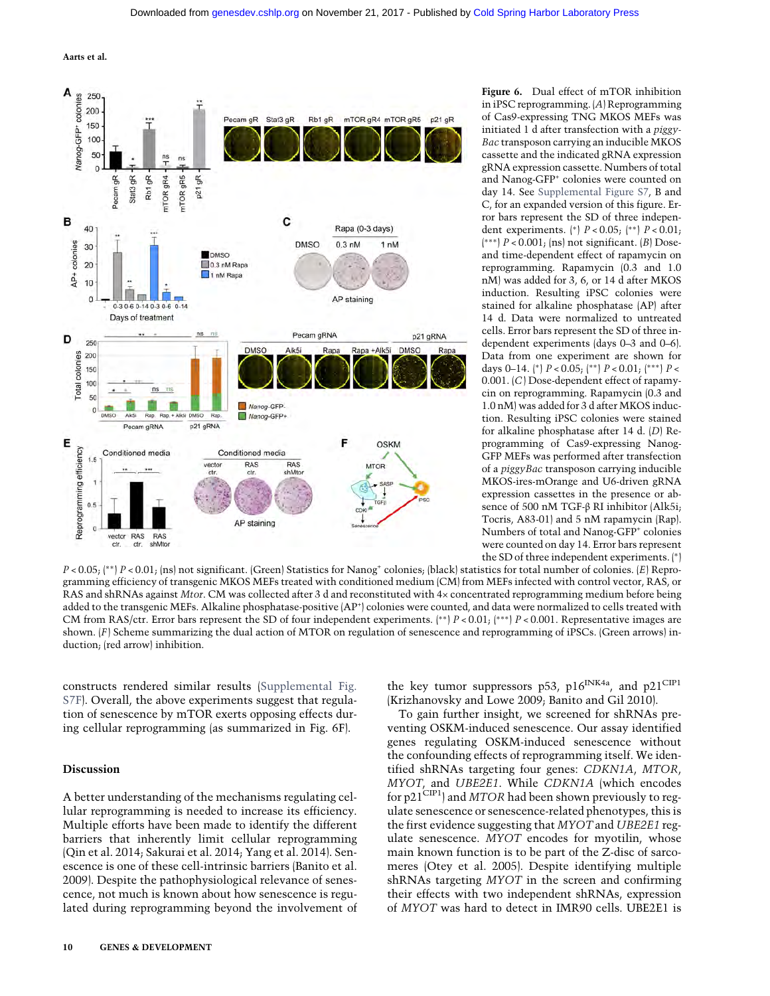![](_page_9_Figure_2.jpeg)

Figure 6. Dual effect of mTOR inhibition in iPSC reprogramming. (A) Reprogramming of Cas9-expressing TNG MKOS MEFs was initiated 1 d after transfection with a piggy-Bac transposon carrying an inducible MKOS cassette and the indicated gRNA expression gRNA expression cassette. Numbers of total and Nanog-GFP+ colonies were counted on day 14. See [Supplemental Figure S7,](http://genesdev.cshlp.org/lookup/suppl/doi:10.1101/gad.297796.117/-/DC1) B and C, for an expanded version of this figure. Error bars represent the SD of three independent experiments. (\*)  $P < 0.05$ ; (\*\*)  $P < 0.01$ ; ( ∗∗∗) P < 0.001; (ns) not significant. (B) Doseand time-dependent effect of rapamycin on reprogramming. Rapamycin (0.3 and 1.0 nM) was added for 3, 6, or 14 d after MKOS induction. Resulting iPSC colonies were stained for alkaline phosphatase (AP) after 14 d. Data were normalized to untreated cells. Error bars represent the SD of three independent experiments (days 0–3 and 0–6). Data from one experiment are shown for days 0–14. (\*)  $P < 0.05$ ; (\*\*)  $P < 0.01$ ; (\*\*\*)  $P <$ 0.001. (C) Dose-dependent effect of rapamycin on reprogramming. Rapamycin (0.3 and 1.0 nM) was added for 3 d after MKOS induction. Resulting iPSC colonies were stained for alkaline phosphatase after 14 d. (D) Reprogramming of Cas9-expressing Nanog-GFP MEFs was performed after transfection of a piggyBac transposon carrying inducible MKOS-ires-mOrange and U6-driven gRNA expression cassettes in the presence or absence of 500 nM TGF-β RI inhibitor (Alk5i; Tocris, A83-01) and 5 nM rapamycin (Rap). Numbers of total and Nanog-GFP<sup>+</sup> colonies were counted on day 14. Error bars represent the SD of three independent experiments. (∗)

P < 0.05; (<sup>\*\*</sup>) P < 0.01; (ns) not significant. (Green) Statistics for Nanog<sup>+</sup> colonies; (black) statistics for total number of colonies. (E) Reprogramming efficiency of transgenic MKOS MEFs treated with conditioned medium (CM) from MEFs infected with control vector, RAS, or RAS and shRNAs against Mtor. CM was collected after 3 d and reconstituted with 4× concentrated reprogramming medium before being added to the transgenic MEFs. Alkaline phosphatase-positive (AP+) colonies were counted, and data were normalized to cells treated with CM from RAS/ctr. Error bars represent the SD of four independent experiments. (\*\*)  $P < 0.01$ ; (\*\*\*)  $P < 0.001$ . Representative images are shown.  $(F)$  Scheme summarizing the dual action of MTOR on regulation of senescence and reprogramming of iPSCs. (Green arrows) induction; (red arrow) inhibition.

constructs rendered similar results [\(Supplemental Fig.](http://genesdev.cshlp.org/lookup/suppl/doi:10.1101/gad.297796.117/-/DC1) [S7F\)](http://genesdev.cshlp.org/lookup/suppl/doi:10.1101/gad.297796.117/-/DC1). Overall, the above experiments suggest that regulation of senescence by mTOR exerts opposing effects during cellular reprogramming (as summarized in Fig. 6F).

#### Discussion

A better understanding of the mechanisms regulating cellular reprogramming is needed to increase its efficiency. Multiple efforts have been made to identify the different barriers that inherently limit cellular reprogramming (Qin et al. 2014; Sakurai et al. 2014; Yang et al. 2014). Senescence is one of these cell-intrinsic barriers (Banito et al. 2009). Despite the pathophysiological relevance of senescence, not much is known about how senescence is regulated during reprogramming beyond the involvement of the key tumor suppressors p53, p16<sup>INK4a</sup>, and p21<sup>CIP1</sup> (Krizhanovsky and Lowe 2009; Banito and Gil 2010).

To gain further insight, we screened for shRNAs preventing OSKM-induced senescence. Our assay identified genes regulating OSKM-induced senescence without the confounding effects of reprogramming itself. We identified shRNAs targeting four genes: CDKN1A, MTOR, MYOT, and UBE2E1. While CDKN1A (which encodes for p21<sup>CIP1</sup>) and MTOR had been shown previously to regulate senescence or senescence-related phenotypes, this is the first evidence suggesting that MYOT and UBE2E1 regulate senescence. MYOT encodes for myotilin, whose main known function is to be part of the Z-disc of sarcomeres (Otey et al. 2005). Despite identifying multiple shRNAs targeting MYOT in the screen and confirming their effects with two independent shRNAs, expression of MYOT was hard to detect in IMR90 cells. UBE2E1 is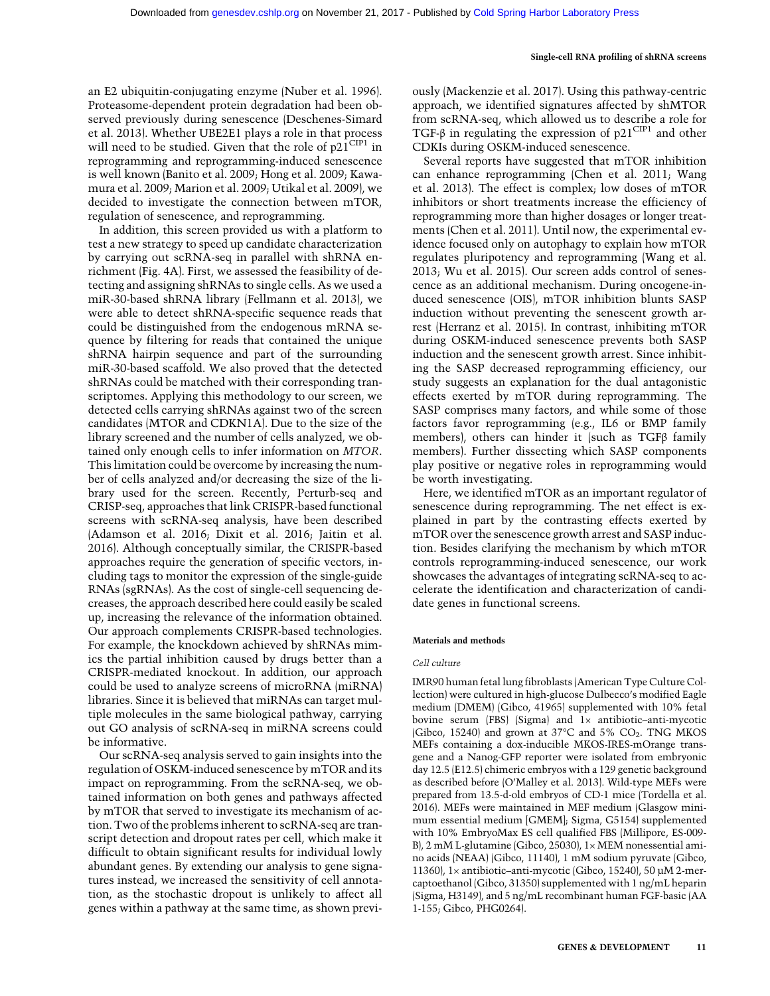an E2 ubiquitin-conjugating enzyme (Nuber et al. 1996). Proteasome-dependent protein degradation had been observed previously during senescence (Deschenes-Simard et al. 2013). Whether UBE2E1 plays a role in that process will need to be studied. Given that the role of  $p21^{\text{CIP1}}$  in reprogramming and reprogramming-induced senescence is well known (Banito et al. 2009; Hong et al. 2009; Kawamura et al. 2009; Marion et al. 2009; Utikal et al. 2009), we decided to investigate the connection between mTOR, regulation of senescence, and reprogramming.

In addition, this screen provided us with a platform to test a new strategy to speed up candidate characterization by carrying out scRNA-seq in parallel with shRNA enrichment (Fig. 4A). First, we assessed the feasibility of detecting and assigning shRNAs to single cells. As we used a miR-30-based shRNA library (Fellmann et al. 2013), we were able to detect shRNA-specific sequence reads that could be distinguished from the endogenous mRNA sequence by filtering for reads that contained the unique shRNA hairpin sequence and part of the surrounding miR-30-based scaffold. We also proved that the detected shRNAs could be matched with their corresponding transcriptomes. Applying this methodology to our screen, we detected cells carrying shRNAs against two of the screen candidates (MTOR and CDKN1A). Due to the size of the library screened and the number of cells analyzed, we obtained only enough cells to infer information on MTOR. This limitation could be overcome by increasing the number of cells analyzed and/or decreasing the size of the library used for the screen. Recently, Perturb-seq and CRISP-seq, approaches that link CRISPR-based functional screens with scRNA-seq analysis, have been described (Adamson et al. 2016; Dixit et al. 2016; Jaitin et al. 2016). Although conceptually similar, the CRISPR-based approaches require the generation of specific vectors, including tags to monitor the expression of the single-guide RNAs (sgRNAs). As the cost of single-cell sequencing decreases, the approach described here could easily be scaled up, increasing the relevance of the information obtained. Our approach complements CRISPR-based technologies. For example, the knockdown achieved by shRNAs mimics the partial inhibition caused by drugs better than a CRISPR-mediated knockout. In addition, our approach could be used to analyze screens of microRNA (miRNA) libraries. Since it is believed that miRNAs can target multiple molecules in the same biological pathway, carrying out GO analysis of scRNA-seq in miRNA screens could be informative.

Our scRNA-seq analysis served to gain insights into the regulation of OSKM-induced senescence by mTOR and its impact on reprogramming. From the scRNA-seq, we obtained information on both genes and pathways affected by mTOR that served to investigate its mechanism of action. Two of the problems inherent to scRNA-seq are transcript detection and dropout rates per cell, which make it difficult to obtain significant results for individual lowly abundant genes. By extending our analysis to gene signatures instead, we increased the sensitivity of cell annotation, as the stochastic dropout is unlikely to affect all genes within a pathway at the same time, as shown previously (Mackenzie et al. 2017). Using this pathway-centric approach, we identified signatures affected by shMTOR from scRNA-seq, which allowed us to describe a role for TGF-β in regulating the expression of  $p21^{\text{CIP1}}$  and other CDKIs during OSKM-induced senescence.

Several reports have suggested that mTOR inhibition can enhance reprogramming (Chen et al. 2011; Wang et al. 2013). The effect is complex; low doses of mTOR inhibitors or short treatments increase the efficiency of reprogramming more than higher dosages or longer treatments (Chen et al. 2011). Until now, the experimental evidence focused only on autophagy to explain how mTOR regulates pluripotency and reprogramming (Wang et al. 2013; Wu et al. 2015). Our screen adds control of senescence as an additional mechanism. During oncogene-induced senescence (OIS), mTOR inhibition blunts SASP induction without preventing the senescent growth arrest (Herranz et al. 2015). In contrast, inhibiting mTOR during OSKM-induced senescence prevents both SASP induction and the senescent growth arrest. Since inhibiting the SASP decreased reprogramming efficiency, our study suggests an explanation for the dual antagonistic effects exerted by mTOR during reprogramming. The SASP comprises many factors, and while some of those factors favor reprogramming (e.g., IL6 or BMP family members), others can hinder it (such as TGFβ family members). Further dissecting which SASP components play positive or negative roles in reprogramming would be worth investigating.

Here, we identified mTOR as an important regulator of senescence during reprogramming. The net effect is explained in part by the contrasting effects exerted by mTOR over the senescence growth arrest and SASP induction. Besides clarifying the mechanism by which mTOR controls reprogramming-induced senescence, our work showcases the advantages of integrating scRNA-seq to accelerate the identification and characterization of candidate genes in functional screens.

#### Materials and methods

#### Cell culture

IMR90 human fetal lung fibroblasts (American Type Culture Collection) were cultured in high-glucose Dulbecco's modified Eagle medium (DMEM) (Gibco, 41965) supplemented with 10% fetal bovine serum (FBS) (Sigma) and 1× antibiotic–anti-mycotic (Gibco, 15240) and grown at 37 $^{\circ}$ C and 5% CO<sub>2</sub>. TNG MKOS MEFs containing a dox-inducible MKOS-IRES-mOrange transgene and a Nanog-GFP reporter were isolated from embryonic day 12.5 (E12.5) chimeric embryos with a 129 genetic background as described before (O'Malley et al. 2013). Wild-type MEFs were prepared from 13.5-d-old embryos of CD-1 mice (Tordella et al. 2016). MEFs were maintained in MEF medium (Glasgow minimum essential medium [GMEM]; Sigma, G5154) supplemented with 10% EmbryoMax ES cell qualified FBS (Millipore, ES-009- B), 2 mM L-glutamine (Gibco, 25030), 1× MEM nonessential amino acids (NEAA) (Gibco, 11140), 1 mM sodium pyruvate (Gibco, 11360), 1× antibiotic–anti-mycotic (Gibco, 15240), 50 µM 2-mercaptoethanol (Gibco, 31350) supplemented with 1 ng/mL heparin (Sigma, H3149), and 5 ng/mL recombinant human FGF-basic (AA 1-155; Gibco, PHG0264).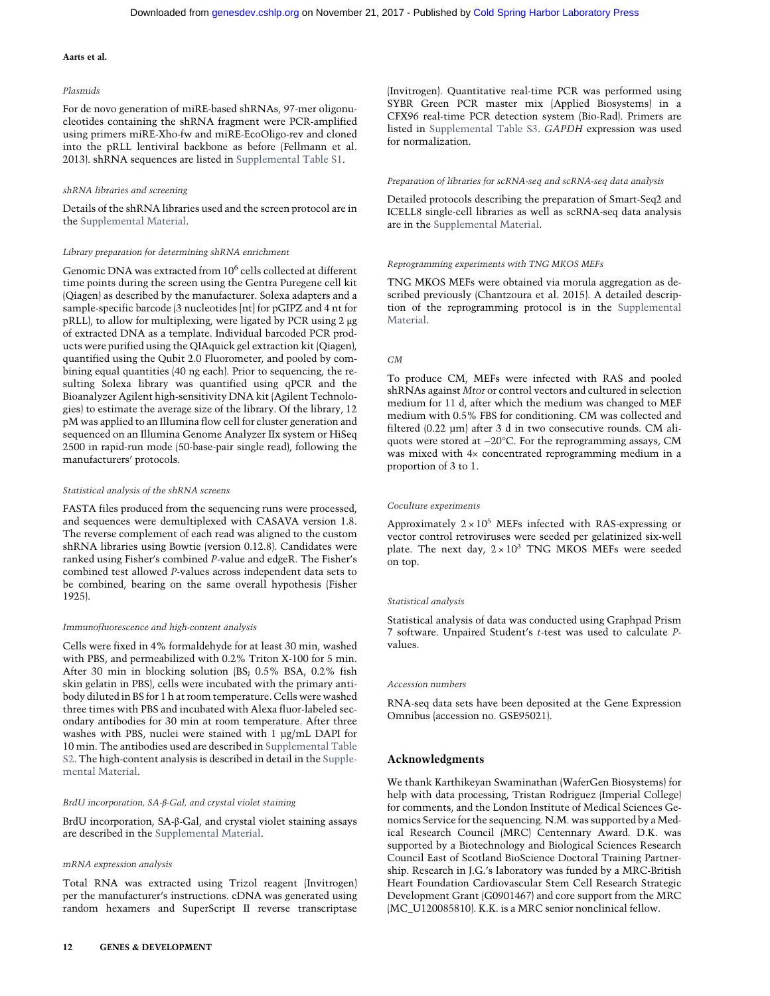#### Plasmids

For de novo generation of miRE-based shRNAs, 97-mer oligonucleotides containing the shRNA fragment were PCR-amplified using primers miRE-Xho-fw and miRE-EcoOligo-rev and cloned into the pRLL lentiviral backbone as before (Fellmann et al. 2013). shRNA sequences are listed in [Supplemental Table S1](http://genesdev.cshlp.org/lookup/suppl/doi:10.1101/gad.297796.117/-/DC1).

#### shRNA libraries and screening

Details of the shRNA libraries used and the screen protocol are in the [Supplemental Material](http://genesdev.cshlp.org/lookup/suppl/doi:10.1101/gad.297796.117/-/DC1).

#### Library preparation for determining shRNA enrichment

Genomic DNA was extracted from 10<sup>6</sup> cells collected at different time points during the screen using the Gentra Puregene cell kit (Qiagen) as described by the manufacturer. Solexa adapters and a sample-specific barcode (3 nucleotides [nt] for pGIPZ and 4 nt for pRLL), to allow for multiplexing, were ligated by PCR using 2 μg of extracted DNA as a template. Individual barcoded PCR products were purified using the QIAquick gel extraction kit (Qiagen), quantified using the Qubit 2.0 Fluorometer, and pooled by combining equal quantities (40 ng each). Prior to sequencing, the resulting Solexa library was quantified using qPCR and the Bioanalyzer Agilent high-sensitivity DNA kit (Agilent Technologies) to estimate the average size of the library. Of the library, 12 pM was applied to an Illumina flow cell for cluster generation and sequenced on an Illumina Genome Analyzer IIx system or HiSeq 2500 in rapid-run mode (50-base-pair single read), following the manufacturers' protocols.

#### Statistical analysis of the shRNA screens

FASTA files produced from the sequencing runs were processed, and sequences were demultiplexed with CASAVA version 1.8. The reverse complement of each read was aligned to the custom shRNA libraries using Bowtie (version 0.12.8). Candidates were ranked using Fisher's combined P-value and edgeR. The Fisher's combined test allowed P-values across independent data sets to be combined, bearing on the same overall hypothesis (Fisher 1925).

#### Immunofluorescence and high-content analysis

Cells were fixed in 4% formaldehyde for at least 30 min, washed with PBS, and permeabilized with 0.2% Triton X-100 for 5 min. After 30 min in blocking solution (BS; 0.5% BSA, 0.2% fish skin gelatin in PBS), cells were incubated with the primary antibody diluted in BS for 1 h at room temperature. Cells were washed three times with PBS and incubated with Alexa fluor-labeled secondary antibodies for 30 min at room temperature. After three washes with PBS, nuclei were stained with 1 µg/mL DAPI for 10 min. The antibodies used are described in [Supplemental Table](http://genesdev.cshlp.org/lookup/suppl/doi:10.1101/gad.297796.117/-/DC1) [S2.](http://genesdev.cshlp.org/lookup/suppl/doi:10.1101/gad.297796.117/-/DC1) The high-content analysis is described in detail in the [Supple](http://genesdev.cshlp.org/lookup/suppl/doi:10.1101/gad.297796.117/-/DC1)[mental Material](http://genesdev.cshlp.org/lookup/suppl/doi:10.1101/gad.297796.117/-/DC1).

#### BrdU incorporation, SA-β-Gal, and crystal violet staining

BrdU incorporation, SA-β-Gal, and crystal violet staining assays are described in the [Supplemental Material](http://genesdev.cshlp.org/lookup/suppl/doi:10.1101/gad.297796.117/-/DC1).

#### mRNA expression analysis

Total RNA was extracted using Trizol reagent (Invitrogen) per the manufacturer's instructions. cDNA was generated using random hexamers and SuperScript II reverse transcriptase (Invitrogen). Quantitative real-time PCR was performed using SYBR Green PCR master mix (Applied Biosystems) in a CFX96 real-time PCR detection system (Bio-Rad). Primers are listed in [Supplemental Table S3.](http://genesdev.cshlp.org/lookup/suppl/doi:10.1101/gad.297796.117/-/DC1) GAPDH expression was used for normalization.

#### Preparation of libraries for scRNA-seq and scRNA-seq data analysis

Detailed protocols describing the preparation of Smart-Seq2 and ICELL8 single-cell libraries as well as scRNA-seq data analysis are in the [Supplemental Material.](http://genesdev.cshlp.org/lookup/suppl/doi:10.1101/gad.297796.117/-/DC1)

#### Reprogramming experiments with TNG MKOS MEFs

TNG MKOS MEFs were obtained via morula aggregation as described previously (Chantzoura et al. 2015). A detailed description of the reprogramming protocol is in the [Supplemental](http://genesdev.cshlp.org/lookup/suppl/doi:10.1101/gad.297796.117/-/DC1) [Material](http://genesdev.cshlp.org/lookup/suppl/doi:10.1101/gad.297796.117/-/DC1).

#### $CM$

To produce CM, MEFs were infected with RAS and pooled shRNAs against Mtor or control vectors and cultured in selection medium for 11 d, after which the medium was changed to MEF medium with 0.5% FBS for conditioning. CM was collected and filtered (0.22 µm) after 3 d in two consecutive rounds. CM aliquots were stored at −20°C. For the reprogramming assays, CM was mixed with 4× concentrated reprogramming medium in a proportion of 3 to 1.

#### Coculture experiments

Approximately  $2 \times 10^5$  MEFs infected with RAS-expressing or vector control retroviruses were seeded per gelatinized six-well plate. The next day,  $2 \times 10^3$  TNG MKOS MEFs were seeded on top.

#### Statistical analysis

Statistical analysis of data was conducted using Graphpad Prism 7 software. Unpaired Student's t-test was used to calculate Pvalues.

#### Accession numbers

RNA-seq data sets have been deposited at the Gene Expression Omnibus (accession no. GSE95021).

#### Acknowledgments

We thank Karthikeyan Swaminathan (WaferGen Biosystems) for help with data processing, Tristan Rodriguez (Imperial College) for comments, and the London Institute of Medical Sciences Genomics Service for the sequencing. N.M. was supported by a Medical Research Council (MRC) Centennary Award. D.K. was supported by a Biotechnology and Biological Sciences Research Council East of Scotland BioScience Doctoral Training Partnership. Research in J.G.'s laboratory was funded by a MRC-British Heart Foundation Cardiovascular Stem Cell Research Strategic Development Grant (G0901467) and core support from the MRC (MC\_U120085810). K.K. is a MRC senior nonclinical fellow.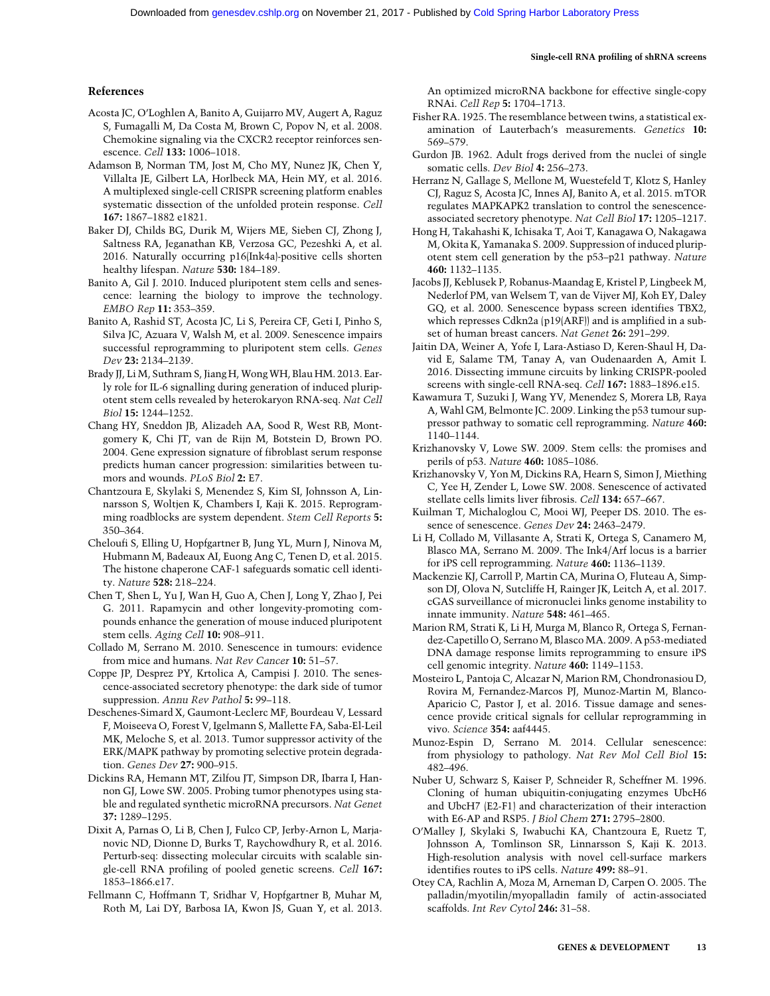## Single-cell RNA profiling of shRNA screens

# References

- Acosta JC, O'Loghlen A, Banito A, Guijarro MV, Augert A, Raguz S, Fumagalli M, Da Costa M, Brown C, Popov N, et al. 2008. Chemokine signaling via the CXCR2 receptor reinforces senescence. Cell 133: 1006–1018.
- Adamson B, Norman TM, Jost M, Cho MY, Nunez JK, Chen Y, Villalta JE, Gilbert LA, Horlbeck MA, Hein MY, et al. 2016. A multiplexed single-cell CRISPR screening platform enables systematic dissection of the unfolded protein response. Cell 167: 1867–1882 e1821.
- Baker DJ, Childs BG, Durik M, Wijers ME, Sieben CJ, Zhong J, Saltness RA, Jeganathan KB, Verzosa GC, Pezeshki A, et al. 2016. Naturally occurring p16(Ink4a)-positive cells shorten healthy lifespan. Nature 530: 184–189.
- Banito A, Gil J. 2010. Induced pluripotent stem cells and senescence: learning the biology to improve the technology. EMBO Rep 11: 353–359.
- Banito A, Rashid ST, Acosta JC, Li S, Pereira CF, Geti I, Pinho S, Silva JC, Azuara V, Walsh M, et al. 2009. Senescence impairs successful reprogramming to pluripotent stem cells. Genes Dev 23: 2134–2139.
- Brady JJ, Li M, Suthram S, Jiang H, Wong WH, Blau HM. 2013. Early role for IL-6 signalling during generation of induced pluripotent stem cells revealed by heterokaryon RNA-seq. Nat Cell Biol 15: 1244–1252.
- Chang HY, Sneddon JB, Alizadeh AA, Sood R, West RB, Montgomery K, Chi JT, van de Rijn M, Botstein D, Brown PO. 2004. Gene expression signature of fibroblast serum response predicts human cancer progression: similarities between tumors and wounds. PLoS Biol 2: E7.
- Chantzoura E, Skylaki S, Menendez S, Kim SI, Johnsson A, Linnarsson S, Woltjen K, Chambers I, Kaji K. 2015. Reprogramming roadblocks are system dependent. Stem Cell Reports 5: 350–364.
- Cheloufi S, Elling U, Hopfgartner B, Jung YL, Murn J, Ninova M, Hubmann M, Badeaux AI, Euong Ang C, Tenen D, et al. 2015. The histone chaperone CAF-1 safeguards somatic cell identity. Nature 528: 218–224.
- Chen T, Shen L, Yu J, Wan H, Guo A, Chen J, Long Y, Zhao J, Pei G. 2011. Rapamycin and other longevity-promoting compounds enhance the generation of mouse induced pluripotent stem cells. Aging Cell 10: 908-911.
- Collado M, Serrano M. 2010. Senescence in tumours: evidence from mice and humans. Nat Rev Cancer 10: 51–57.
- Coppe JP, Desprez PY, Krtolica A, Campisi J. 2010. The senescence-associated secretory phenotype: the dark side of tumor suppression. Annu Rev Pathol 5: 99-118.
- Deschenes-Simard X, Gaumont-Leclerc MF, Bourdeau V, Lessard F, Moiseeva O, Forest V, Igelmann S, Mallette FA, Saba-El-Leil MK, Meloche S, et al. 2013. Tumor suppressor activity of the ERK/MAPK pathway by promoting selective protein degradation. Genes Dev 27: 900–915.
- Dickins RA, Hemann MT, Zilfou JT, Simpson DR, Ibarra I, Hannon GJ, Lowe SW. 2005. Probing tumor phenotypes using stable and regulated synthetic microRNA precursors. Nat Genet 37: 1289–1295.
- Dixit A, Parnas O, Li B, Chen J, Fulco CP, Jerby-Arnon L, Marjanovic ND, Dionne D, Burks T, Raychowdhury R, et al. 2016. Perturb-seq: dissecting molecular circuits with scalable single-cell RNA profiling of pooled genetic screens. Cell 167: 1853–1866.e17.
- Fellmann C, Hoffmann T, Sridhar V, Hopfgartner B, Muhar M, Roth M, Lai DY, Barbosa IA, Kwon JS, Guan Y, et al. 2013.

An optimized microRNA backbone for effective single-copy RNAi. Cell Rep 5: 1704–1713.

- Fisher RA. 1925. The resemblance between twins, a statistical examination of Lauterbach's measurements. Genetics 10: 569–579.
- Gurdon JB. 1962. Adult frogs derived from the nuclei of single somatic cells. Dev Biol 4: 256–273.
- Herranz N, Gallage S, Mellone M, Wuestefeld T, Klotz S, Hanley CJ, Raguz S, Acosta JC, Innes AJ, Banito A, et al. 2015. mTOR regulates MAPKAPK2 translation to control the senescenceassociated secretory phenotype. Nat Cell Biol 17: 1205–1217.
- Hong H, Takahashi K, Ichisaka T, Aoi T, Kanagawa O, Nakagawa M, Okita K, Yamanaka S. 2009. Suppression of induced pluripotent stem cell generation by the p53–p21 pathway. Nature 460: 1132–1135.
- Jacobs JJ, Keblusek P, Robanus-Maandag E, Kristel P, Lingbeek M, Nederlof PM, van Welsem T, van de Vijver MJ, Koh EY, Daley GQ, et al. 2000. Senescence bypass screen identifies TBX2, which represses Cdkn2a (p19(ARF)) and is amplified in a subset of human breast cancers. Nat Genet 26: 291–299.
- Jaitin DA, Weiner A, Yofe I, Lara-Astiaso D, Keren-Shaul H, David E, Salame TM, Tanay A, van Oudenaarden A, Amit I. 2016. Dissecting immune circuits by linking CRISPR-pooled screens with single-cell RNA-seq. Cell 167: 1883–1896.e15.
- Kawamura T, Suzuki J, Wang YV, Menendez S, Morera LB, Raya A, Wahl GM, Belmonte JC. 2009. Linking the p53 tumour suppressor pathway to somatic cell reprogramming. Nature 460: 1140–1144.
- Krizhanovsky V, Lowe SW. 2009. Stem cells: the promises and perils of p53. Nature 460: 1085–1086.
- Krizhanovsky V, Yon M, Dickins RA, Hearn S, Simon J, Miething C, Yee H, Zender L, Lowe SW. 2008. Senescence of activated stellate cells limits liver fibrosis. Cell 134: 657–667.
- Kuilman T, Michaloglou C, Mooi WJ, Peeper DS. 2010. The essence of senescence. Genes Dev 24: 2463-2479.
- Li H, Collado M, Villasante A, Strati K, Ortega S, Canamero M, Blasco MA, Serrano M. 2009. The Ink4/Arf locus is a barrier for iPS cell reprogramming. Nature 460: 1136–1139.
- Mackenzie KJ, Carroll P, Martin CA, Murina O, Fluteau A, Simpson DJ, Olova N, Sutcliffe H, Rainger JK, Leitch A, et al. 2017. cGAS surveillance of micronuclei links genome instability to innate immunity. Nature 548: 461–465.
- Marion RM, Strati K, Li H, Murga M, Blanco R, Ortega S, Fernandez-Capetillo O, Serrano M, Blasco MA. 2009. A p53-mediated DNA damage response limits reprogramming to ensure iPS cell genomic integrity. Nature 460: 1149–1153.
- Mosteiro L, Pantoja C, Alcazar N, Marion RM, Chondronasiou D, Rovira M, Fernandez-Marcos PJ, Munoz-Martin M, Blanco-Aparicio C, Pastor J, et al. 2016. Tissue damage and senescence provide critical signals for cellular reprogramming in vivo. Science 354: aaf4445.
- Munoz-Espin D, Serrano M. 2014. Cellular senescence: from physiology to pathology. Nat Rev Mol Cell Biol 15: 482–496.
- Nuber U, Schwarz S, Kaiser P, Schneider R, Scheffner M. 1996. Cloning of human ubiquitin-conjugating enzymes UbcH6 and UbcH7 (E2-F1) and characterization of their interaction with E6-AP and RSP5. J Biol Chem 271: 2795–2800.
- O'Malley J, Skylaki S, Iwabuchi KA, Chantzoura E, Ruetz T, Johnsson A, Tomlinson SR, Linnarsson S, Kaji K. 2013. High-resolution analysis with novel cell-surface markers identifies routes to iPS cells. Nature 499: 88–91.
- Otey CA, Rachlin A, Moza M, Arneman D, Carpen O. 2005. The palladin/myotilin/myopalladin family of actin-associated scaffolds. Int Rev Cytol 246: 31–58.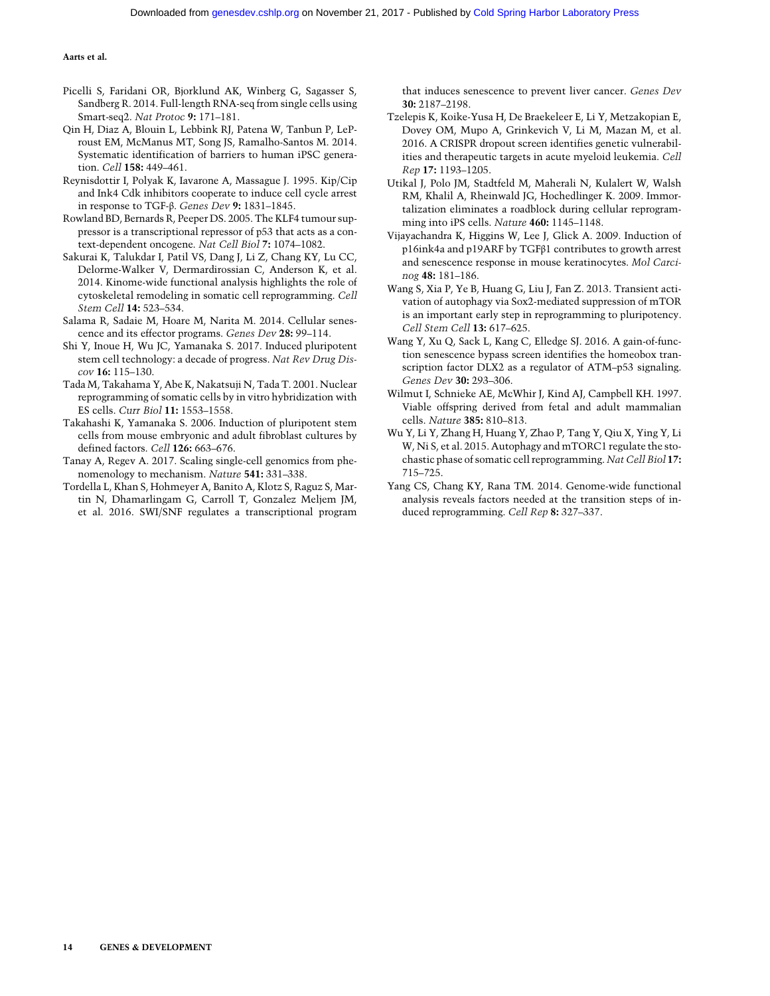- Picelli S, Faridani OR, Bjorklund AK, Winberg G, Sagasser S, Sandberg R. 2014. Full-length RNA-seq from single cells using Smart-seq2. Nat Protoc 9: 171–181.
- Qin H, Diaz A, Blouin L, Lebbink RJ, Patena W, Tanbun P, LeProust EM, McManus MT, Song JS, Ramalho-Santos M. 2014. Systematic identification of barriers to human iPSC generation. Cell 158: 449–461.
- Reynisdottir I, Polyak K, Iavarone A, Massague J. 1995. Kip/Cip and Ink4 Cdk inhibitors cooperate to induce cell cycle arrest in response to TGF-β. Genes Dev 9: 1831–1845.
- Rowland BD, Bernards R, Peeper DS. 2005. The KLF4 tumour suppressor is a transcriptional repressor of p53 that acts as a context-dependent oncogene. Nat Cell Biol 7: 1074–1082.
- Sakurai K, Talukdar I, Patil VS, Dang J, Li Z, Chang KY, Lu CC, Delorme-Walker V, Dermardirossian C, Anderson K, et al. 2014. Kinome-wide functional analysis highlights the role of cytoskeletal remodeling in somatic cell reprogramming. Cell Stem Cell 14: 523–534.
- Salama R, Sadaie M, Hoare M, Narita M. 2014. Cellular senescence and its effector programs. Genes Dev 28: 99–114.
- Shi Y, Inoue H, Wu JC, Yamanaka S. 2017. Induced pluripotent stem cell technology: a decade of progress. Nat Rev Drug Discov 16: 115–130.
- Tada M, Takahama Y, Abe K, Nakatsuji N, Tada T. 2001. Nuclear reprogramming of somatic cells by in vitro hybridization with ES cells. Curr Biol 11: 1553–1558.
- Takahashi K, Yamanaka S. 2006. Induction of pluripotent stem cells from mouse embryonic and adult fibroblast cultures by defined factors. Cell 126: 663–676.
- Tanay A, Regev A. 2017. Scaling single-cell genomics from phenomenology to mechanism. Nature 541: 331–338.
- Tordella L, Khan S, Hohmeyer A, Banito A, Klotz S, Raguz S, Martin N, Dhamarlingam G, Carroll T, Gonzalez Meljem JM, et al. 2016. SWI/SNF regulates a transcriptional program

that induces senescence to prevent liver cancer. Genes Dev 30: 2187–2198.

- Tzelepis K, Koike-Yusa H, De Braekeleer E, Li Y, Metzakopian E, Dovey OM, Mupo A, Grinkevich V, Li M, Mazan M, et al. 2016. A CRISPR dropout screen identifies genetic vulnerabilities and therapeutic targets in acute myeloid leukemia. Cell Rep 17: 1193–1205.
- Utikal J, Polo JM, Stadtfeld M, Maherali N, Kulalert W, Walsh RM, Khalil A, Rheinwald JG, Hochedlinger K. 2009. Immortalization eliminates a roadblock during cellular reprogramming into iPS cells. Nature 460: 1145–1148.
- Vijayachandra K, Higgins W, Lee J, Glick A. 2009. Induction of p16ink4a and p19ARF by TGFβ1 contributes to growth arrest and senescence response in mouse keratinocytes. Mol Carcinog 48: 181–186.
- Wang S, Xia P, Ye B, Huang G, Liu J, Fan Z. 2013. Transient activation of autophagy via Sox2-mediated suppression of mTOR is an important early step in reprogramming to pluripotency. Cell Stem Cell 13: 617–625.
- Wang Y, Xu Q, Sack L, Kang C, Elledge SJ. 2016. A gain-of-function senescence bypass screen identifies the homeobox transcription factor DLX2 as a regulator of ATM–p53 signaling. Genes Dev 30: 293–306.
- Wilmut I, Schnieke AE, McWhir J, Kind AJ, Campbell KH. 1997. Viable offspring derived from fetal and adult mammalian cells. Nature 385: 810–813.
- Wu Y, Li Y, Zhang H, Huang Y, Zhao P, Tang Y, Qiu X, Ying Y, Li W, Ni S, et al. 2015. Autophagy and mTORC1 regulate the stochastic phase of somatic cell reprogramming. Nat Cell Biol 17: 715–725.
- Yang CS, Chang KY, Rana TM. 2014. Genome-wide functional analysis reveals factors needed at the transition steps of induced reprogramming. Cell Rep 8: 327–337.